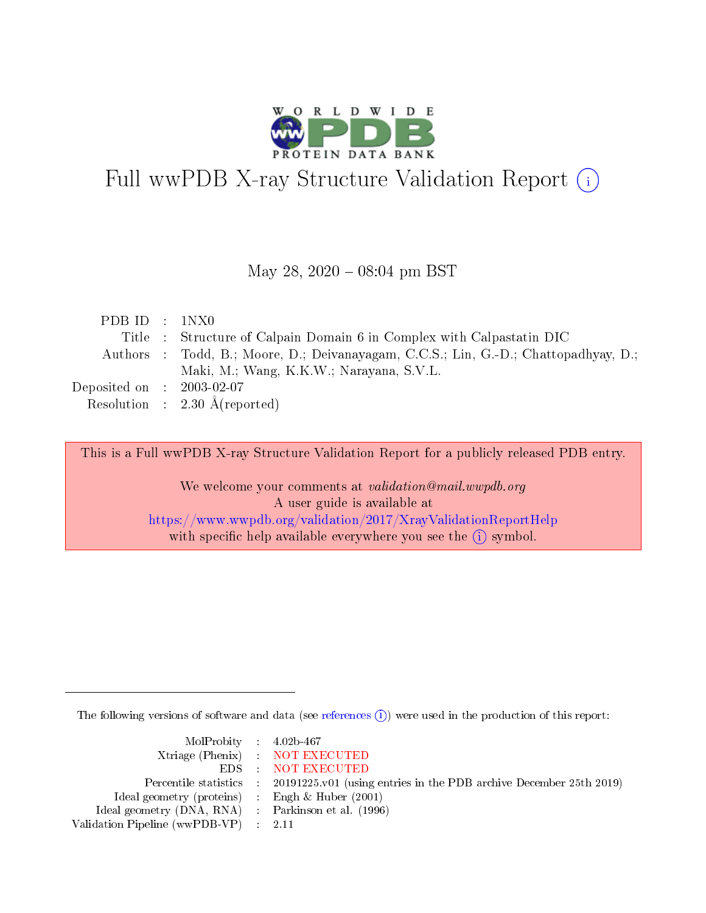

# Full wwPDB X-ray Structure Validation Report (i)

#### May 28, 2020 - 08:04 pm BST

| PDBID : 1NX0                        |                                                                                     |
|-------------------------------------|-------------------------------------------------------------------------------------|
|                                     | Title : Structure of Calpain Domain 6 in Complex with Calpastatin DIC               |
|                                     | Authors : Todd, B.; Moore, D.; Deivanayagam, C.C.S.; Lin, G.-D.; Chattopadhyay, D.; |
|                                     | Maki, M.; Wang, K.K.W.; Narayana, S.V.L.                                            |
| Deposited on $\,$ : 2003-02-07 $\,$ |                                                                                     |
|                                     | Resolution : $2.30 \text{ Å}$ (reported)                                            |

This is a Full wwPDB X-ray Structure Validation Report for a publicly released PDB entry.

We welcome your comments at validation@mail.wwpdb.org A user guide is available at <https://www.wwpdb.org/validation/2017/XrayValidationReportHelp> with specific help available everywhere you see the  $(i)$  symbol.

The following versions of software and data (see [references](https://www.wwpdb.org/validation/2017/XrayValidationReportHelp#references)  $\overline{(1)}$ ) were used in the production of this report:

| $MolProbability$ 4.02b-467                          |                                                                    |
|-----------------------------------------------------|--------------------------------------------------------------------|
|                                                     | Xtriage (Phenix) NOT EXECUTED                                      |
|                                                     | EDS : NOT EXECUTED                                                 |
| Percentile statistics :                             | 20191225.v01 (using entries in the PDB archive December 25th 2019) |
| Ideal geometry (proteins) :                         | Engh $\&$ Huber (2001)                                             |
| Ideal geometry (DNA, RNA) : Parkinson et al. (1996) |                                                                    |
| Validation Pipeline (wwPDB-VP) : 2.11               |                                                                    |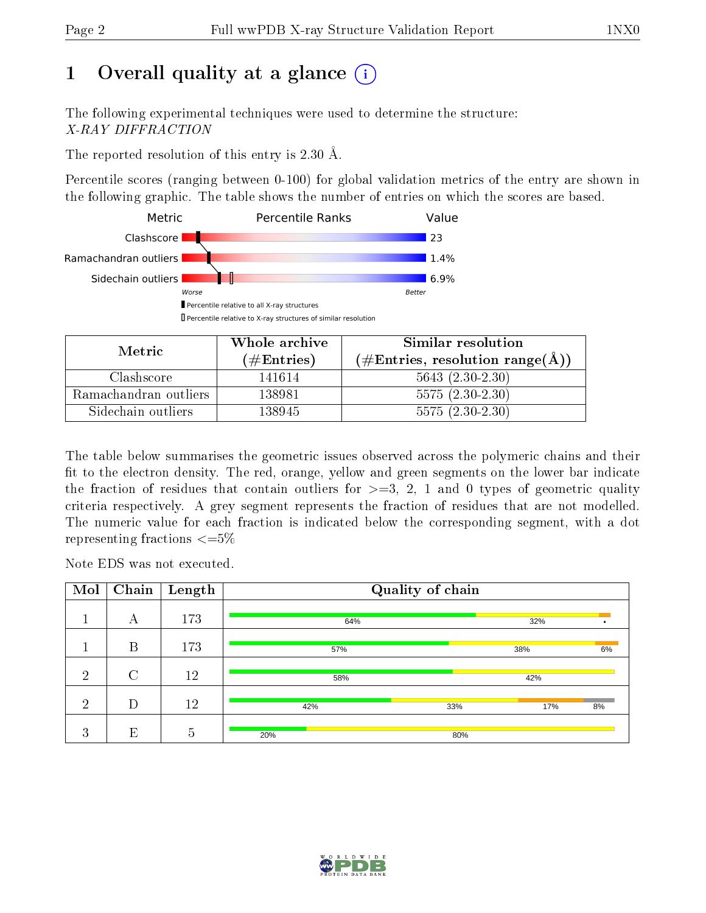# 1 [O](https://www.wwpdb.org/validation/2017/XrayValidationReportHelp#overall_quality)verall quality at a glance  $(i)$

The following experimental techniques were used to determine the structure: X-RAY DIFFRACTION

The reported resolution of this entry is 2.30 Å.

Percentile scores (ranging between 0-100) for global validation metrics of the entry are shown in the following graphic. The table shows the number of entries on which the scores are based.



| Metric                | Whole archive<br>(# $\rm{Entries}$ ) | Similar resolution<br>$(\#\text{Entries}, \text{resolution range}(\text{\AA}))$ |
|-----------------------|--------------------------------------|---------------------------------------------------------------------------------|
| Clashscore            | 141614                               | $5643(2.30-2.30)$                                                               |
| Ramachandran outliers | 138981                               | $5575(2.30-2.30)$                                                               |
| Sidechain outliers    | 138945                               | $5575(2.30-2.30)$                                                               |

The table below summarises the geometric issues observed across the polymeric chains and their fit to the electron density. The red, orange, yellow and green segments on the lower bar indicate the fraction of residues that contain outliers for  $\geq=3$ , 2, 1 and 0 types of geometric quality criteria respectively. A grey segment represents the fraction of residues that are not modelled. The numeric value for each fraction is indicated below the corresponding segment, with a dot representing fractions  $\leq=5\%$ 

Note EDS was not executed.

| Mol            | Chain         | Length         |     | Quality of chain |     |    |
|----------------|---------------|----------------|-----|------------------|-----|----|
|                | А             | 173            | 64% |                  | 32% |    |
|                | B             | 173            | 57% |                  | 38% | 6% |
| $\overline{2}$ | $\mathcal{C}$ | 12             | 58% |                  | 42% |    |
| $\overline{2}$ | D             | 12             | 42% | 33%              | 17% | 8% |
| 3              | E             | $\overline{5}$ | 20% | 80%              |     |    |

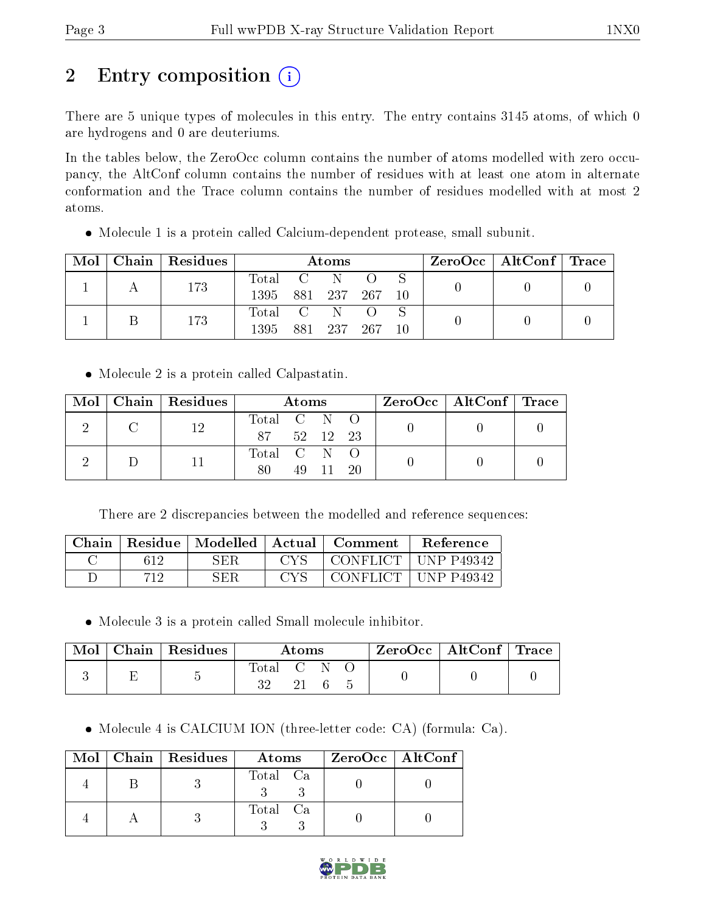# 2 Entry composition  $\left( \cdot \right)$

There are 5 unique types of molecules in this entry. The entry contains 3145 atoms, of which 0 are hydrogens and 0 are deuteriums.

In the tables below, the ZeroOcc column contains the number of atoms modelled with zero occupancy, the AltConf column contains the number of residues with at least one atom in alternate conformation and the Trace column contains the number of residues modelled with at most 2 atoms.

Molecule 1 is a protein called Calcium-dependent protease, small subunit.

| Mol | $\mid$ Chain $\mid$ Residues |                  | Atoms |             |  | $\rm ZeroOcc$   Alt $\rm Conf$   Trace |  |
|-----|------------------------------|------------------|-------|-------------|--|----------------------------------------|--|
|     | 173                          | Total C N        |       |             |  |                                        |  |
|     |                              | 1395 881 237 267 |       |             |  |                                        |  |
|     | 173                          | Total C N O      |       |             |  |                                        |  |
|     |                              | 1395-            |       | 881 237 267 |  |                                        |  |

• Molecule 2 is a protein called Calpastatin.

|  | $\text{Mol}$   Chain   Residues | Atoms       |  |       |  | $\text{ZeroOcc} \mid \text{AltConf} \mid \text{Trace}$ |  |
|--|---------------------------------|-------------|--|-------|--|--------------------------------------------------------|--|
|  | 12                              | Total C N O |  |       |  |                                                        |  |
|  |                                 | 87 52 12 23 |  |       |  |                                                        |  |
|  |                                 | Total C N O |  |       |  |                                                        |  |
|  |                                 | 80          |  | 49 11 |  |                                                        |  |

There are 2 discrepancies between the modelled and reference sequences:

| Chain |     | Residue   Modelled | Actual | ∟ Comment∶                     | Reference        |
|-------|-----|--------------------|--------|--------------------------------|------------------|
|       |     | SER                | CVS    | $^{\circ}$ CONFLICT $_{\odot}$ | $\pm$ UNP P49342 |
|       | 712 | <b>SER</b>         | CVS.   | ' CONFLICT +                   | UNP P49342       |

Molecule 3 is a protein called Small molecule inhibitor.

| Mol | Chain   Residues | Atoms                       |  |  |  | ZeroOcc   AltConf   Trace |  |
|-----|------------------|-----------------------------|--|--|--|---------------------------|--|
|     |                  | $\mbox{Total}$ $\mbox{C}$ : |  |  |  |                           |  |

Molecule 4 is CALCIUM ION (three-letter code: CA) (formula: Ca).

|  | Mol   Chain   Residues | Atoms    | $ZeroOcc \   \ AltConf \  $ |
|--|------------------------|----------|-----------------------------|
|  |                        | Total Ca |                             |
|  |                        | Total Ca |                             |

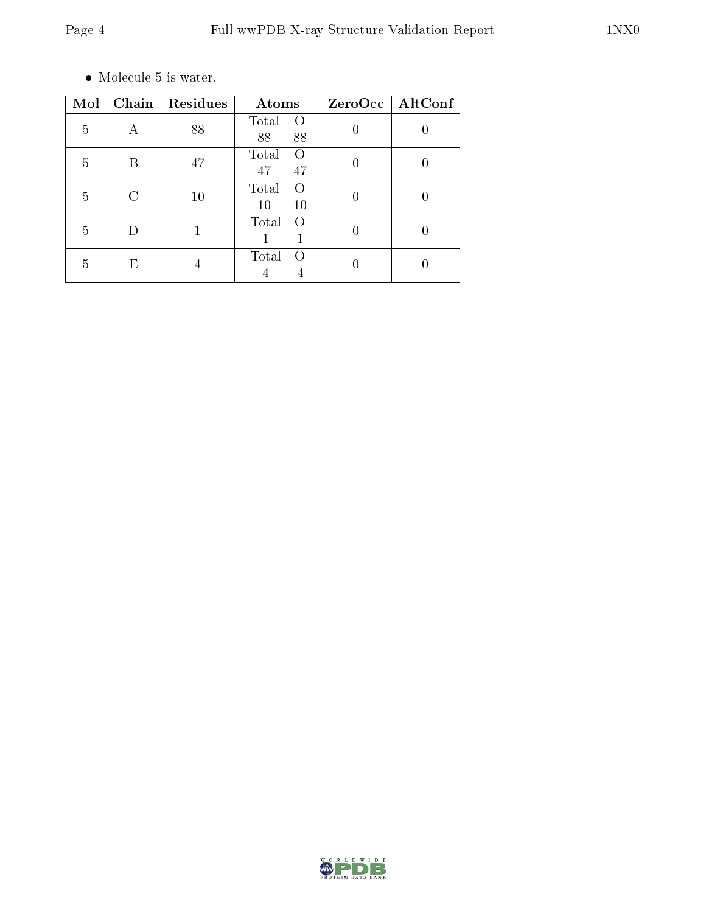$\bullet\,$  Molecule 5 is water.

| Mol | Chain | Residues | Atoms                                 | ZeroOcc   AltConf |
|-----|-------|----------|---------------------------------------|-------------------|
| 5   | А     | 88       | Total<br>$\left( \right)$<br>88<br>88 |                   |
| 5   | R     | 47       | Total<br>$\left( \right)$<br>47<br>47 |                   |
| 5   |       | 10       | Total<br>$\left( \right)$<br>10<br>10 |                   |
| 5   |       |          | Total                                 |                   |
| 5   | E     | 4        | Total<br>$\left( \right)$             |                   |

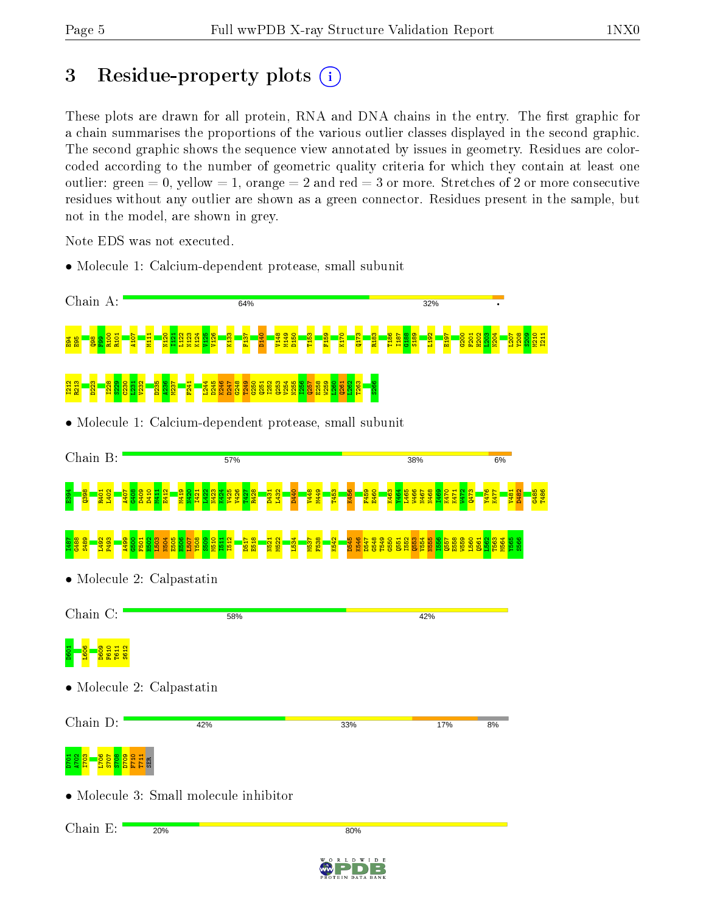# 3 Residue-property plots  $(i)$

These plots are drawn for all protein, RNA and DNA chains in the entry. The first graphic for a chain summarises the proportions of the various outlier classes displayed in the second graphic. The second graphic shows the sequence view annotated by issues in geometry. Residues are colorcoded according to the number of geometric quality criteria for which they contain at least one outlier: green  $= 0$ , yellow  $= 1$ , orange  $= 2$  and red  $= 3$  or more. Stretches of 2 or more consecutive residues without any outlier are shown as a green connector. Residues present in the sample, but not in the model, are shown in grey.

Note EDS was not executed.

• Molecule 1: Calcium-dependent protease, small subunit



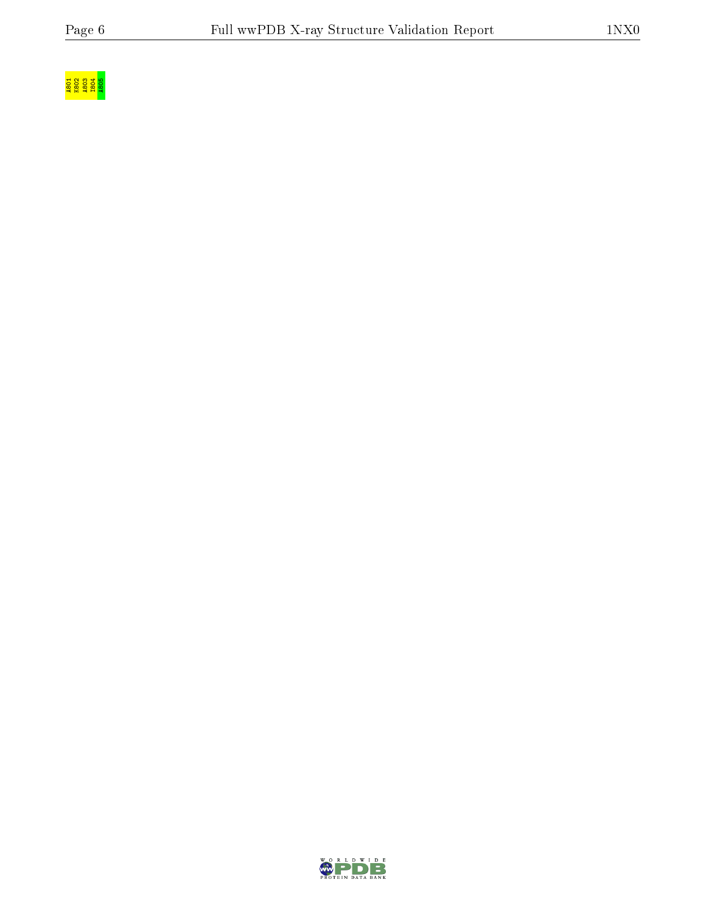

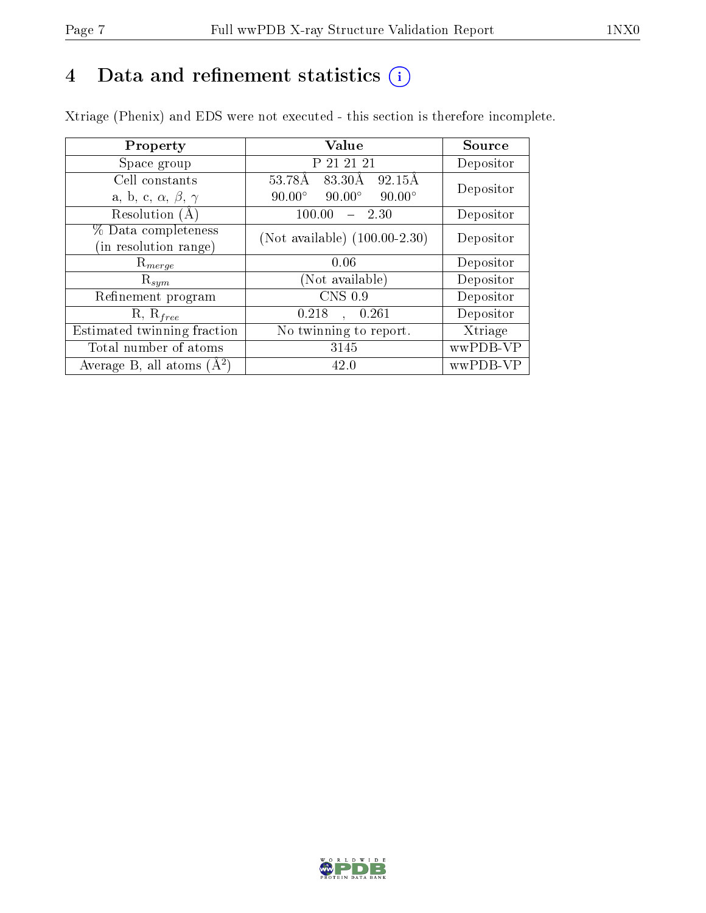# 4 Data and refinement statistics  $(i)$

Xtriage (Phenix) and EDS were not executed - this section is therefore incomplete.

| Property                               | Value                                             | Source    |
|----------------------------------------|---------------------------------------------------|-----------|
| Space group                            | P 21 21 21                                        | Depositor |
| Cell constants                         | 53.78Å 83.30Å<br>92.15Å                           | Depositor |
| a, b, c, $\alpha$ , $\beta$ , $\gamma$ | $90.00^\circ$<br>$90.00^\circ$<br>$90.00^{\circ}$ |           |
| Resolution (A)                         | 100.00<br>$-2.30$                                 | Depositor |
| % Data completeness                    | (Not available) $(100.00-2.30)$                   | Depositor |
| (in resolution range)                  |                                                   |           |
| $\mathrm{R}_{merge}$                   | 0.06                                              | Depositor |
| $\mathrm{R}_{sym}$                     | Not available)                                    | Depositor |
| Refinement program                     | CNS 0.9                                           | Depositor |
| $R, R_{free}$                          | , 0.261<br>0.218                                  | Depositor |
| Estimated twinning fraction            | No twinning to report.                            | Xtriage   |
| Total number of atoms                  | 3145                                              | wwPDB-VP  |
| Average B, all atoms $(A^2)$           | 42.0                                              | wwPDB-VP  |

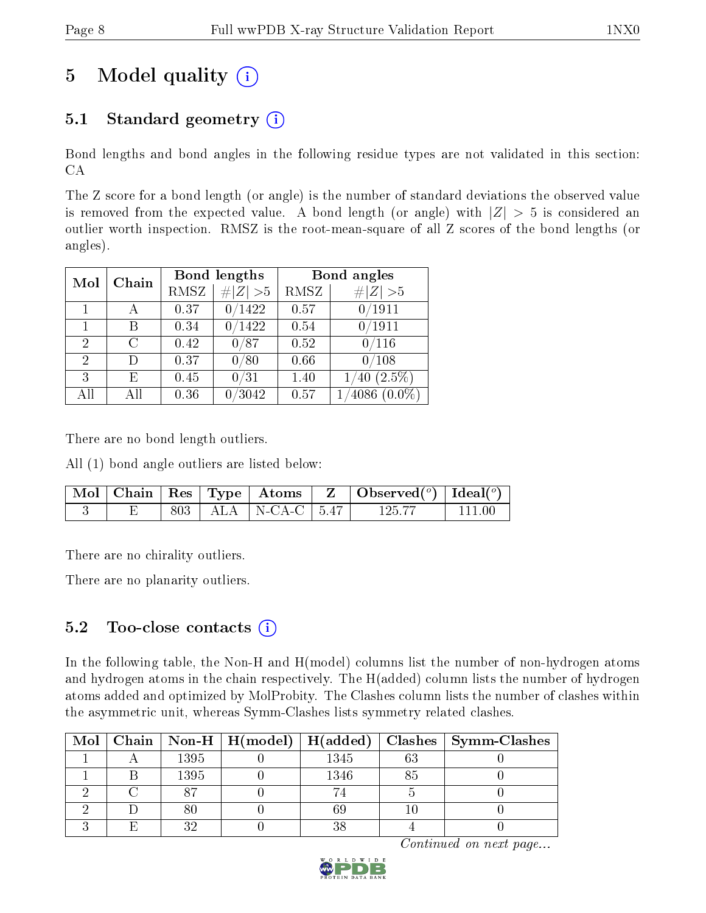# 5 Model quality  $(i)$

## 5.1 Standard geometry  $(i)$

Bond lengths and bond angles in the following residue types are not validated in this section: CA

The Z score for a bond length (or angle) is the number of standard deviations the observed value is removed from the expected value. A bond length (or angle) with  $|Z| > 5$  is considered an outlier worth inspection. RMSZ is the root-mean-square of all Z scores of the bond lengths (or angles).

|                |              |      | Bond lengths  | Bond angles |                   |  |
|----------------|--------------|------|---------------|-------------|-------------------|--|
|                | Chain<br>Mol |      | Z   > 5       | RMSZ        | # $ Z  > 5$       |  |
|                |              | 0.37 | 0/1422        | 0.57        | 0/1911            |  |
| 1              | В            | 0.34 | $\sqrt{1422}$ | 0.54        | 0/1911            |  |
| $\overline{2}$ | С            | 0.42 | 0/87          | 0.52        | 0/116             |  |
| 2              | Ð            | 0.37 | 0/80          | 0.66        | /108              |  |
| 3              | E            | 0.45 | 0/31          | 1.40        | $(2.5\%)$<br>40   |  |
| All            | All          | 0.36 | /3042         | 0.57        | 4086<br>$(0.0\%)$ |  |

There are no bond length outliers.

All (1) bond angle outliers are listed below:

|  |  |                           | Mol   Chain   Res   Type   Atoms   Z   Observed $(^\circ)$   Ideal $(^\circ)$ |          |
|--|--|---------------------------|-------------------------------------------------------------------------------|----------|
|  |  | 803   ALA   N-CA-C   5.47 | 125.77                                                                        | - 111 00 |

There are no chirality outliers.

There are no planarity outliers.

### 5.2 Too-close contacts  $(i)$

In the following table, the Non-H and H(model) columns list the number of non-hydrogen atoms and hydrogen atoms in the chain respectively. The H(added) column lists the number of hydrogen atoms added and optimized by MolProbity. The Clashes column lists the number of clashes within the asymmetric unit, whereas Symm-Clashes lists symmetry related clashes.

|  |      |      | Mol   Chain   Non-H   H(model)   H(added)   Clashes   Symm-Clashes |
|--|------|------|--------------------------------------------------------------------|
|  | 1395 | 1345 |                                                                    |
|  | 1395 | 1346 |                                                                    |
|  |      |      |                                                                    |
|  |      |      |                                                                    |
|  | າດ   |      |                                                                    |

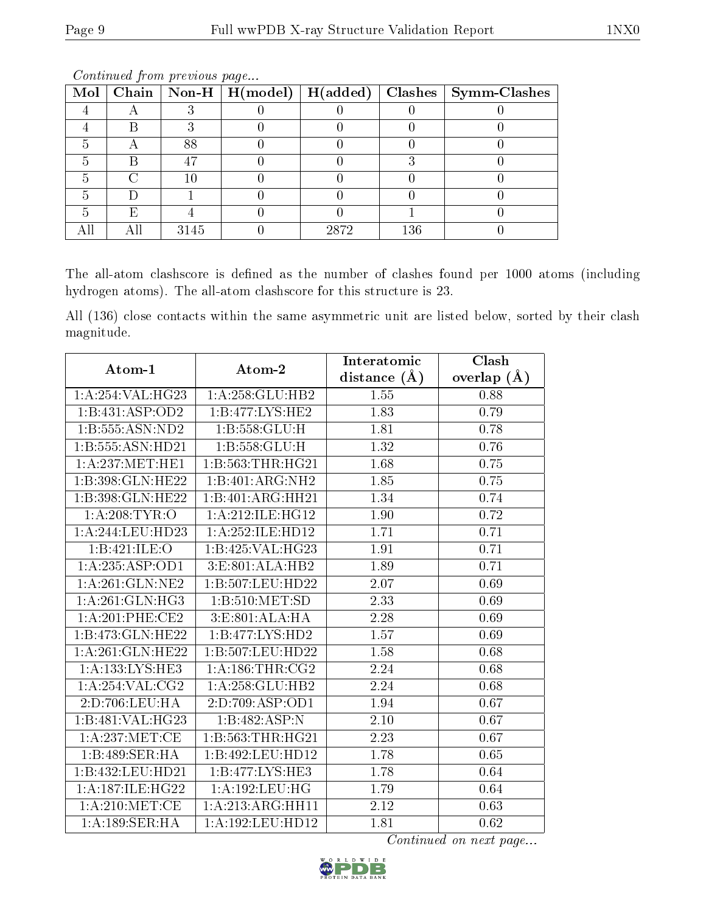|   |      |      |     | Mol   Chain   Non-H   H(model)   H(added)   Clashes   Symm-Clashes |
|---|------|------|-----|--------------------------------------------------------------------|
|   |      |      |     |                                                                    |
|   |      |      |     |                                                                    |
| − | 88   |      |     |                                                                    |
|   |      |      |     |                                                                    |
|   |      |      |     |                                                                    |
|   |      |      |     |                                                                    |
| F |      |      |     |                                                                    |
|   | 3145 | 2872 | 136 |                                                                    |

Continued from previous page...

The all-atom clashscore is defined as the number of clashes found per 1000 atoms (including hydrogen atoms). The all-atom clashscore for this structure is 23.

All (136) close contacts within the same asymmetric unit are listed below, sorted by their clash magnitude.

| Atom-1              | Atom-2                         | Interatomic      | Clash             |
|---------------------|--------------------------------|------------------|-------------------|
|                     |                                | distance $(\AA)$ | overlap $(A)$     |
| 1:A:254:VAL:HG23    | 1:A:258:GLU:HB2                | 1.55             | 0.88              |
| 1:B:431:ASP:OD2     | 1: B:477: LYS: HE2             | 1.83             | 0.79              |
| 1:B:555:ASN:ND2     | 1: B: 558: GLU: H              | 1.81             | 0.78              |
| 1:B:555:ASN:HD21    | 1:B:558:GLU:H                  | 1.32             | 0.76              |
| 1: A:237: MET:HE1   | 1:B:563:THR:HG21               | 1.68             | 0.75              |
| 1:B:398:GLN:HE22    | 1:B:401:ARG:NH2                | 1.85             | 0.75              |
| 1:B:398:GLN:HE22    | 1:B:401:ARG:HH21               | 1.34             | 0.74              |
| 1: A:208:TYR:O      | 1:A:212:ILE:HG12               | 1.90             | 0.72              |
| 1:A:244:LEU:HD23    | 1:A:252:ILE:HD12               | 1.71             | 0.71              |
| 1:B:421:ILE:O       | 1:B:425:VAL:H G23              | 1.91             | 0.71              |
| 1:A:235:ASP:OD1     | 3:E:801:ALA:HB2                | 1.89             | 0.71              |
| 1:A:261:GLN:NE2     | 1:B:507:LEU:HD22               | 2.07             | 0.69              |
| 1: A:261: GLN:HG3   | 1:B:510:MET:SD                 | 2.33             | 0.69              |
| 1: A:201:PHE:CE2    | $3: E:801: ALA: \overline{HA}$ | 2.28             | 0.69              |
| 1:B:473:GLN:HE22    | 1:B:477:LYS:HD2                | 1.57             | 0.69              |
| 1:A:261:GLN:HE22    | 1:B:507:LEU:HD22               | 1.58             | 0.68              |
| 1: A: 133: LYS: HE3 | 1: A:186:THR:CG2               | 2.24             | 0.68              |
| 1: A:254: VAL: CG2  | 1: A:258: GLU:HB2              | 2.24             | 0.68              |
| 2:D:706:LEU:HA      | 2:D:709:ASP:OD1                | 1.94             | 0.67              |
| 1:B:481:VAL:HG23    | 1:B:482:ASP:N                  | 2.10             | $0.67\,$          |
| 1: A:237: MET:CE    | 1:B:563:THR:HG21               | 2.23             | 0.67              |
| 1:B:489:SER:HA      | 1:B:492:LEU:HD12               | 1.78             | 0.65              |
| 1:B:432:LEU:HD21    | 1:B:477:LYS:HE3                | 1.78             | 0.64              |
| 1:A:187:ILE:HG22    | 1: A: 192: LEU: HG             | 1.79             | $\,0.64$          |
| 1: A:210: MET:CE    | 1:A:213:ARG:HH11               | 2.12             | 0.63              |
| 1:A:189:SER:HA      | 1:A:192:LEU:HD12               | 1.81             | $\overline{0.62}$ |

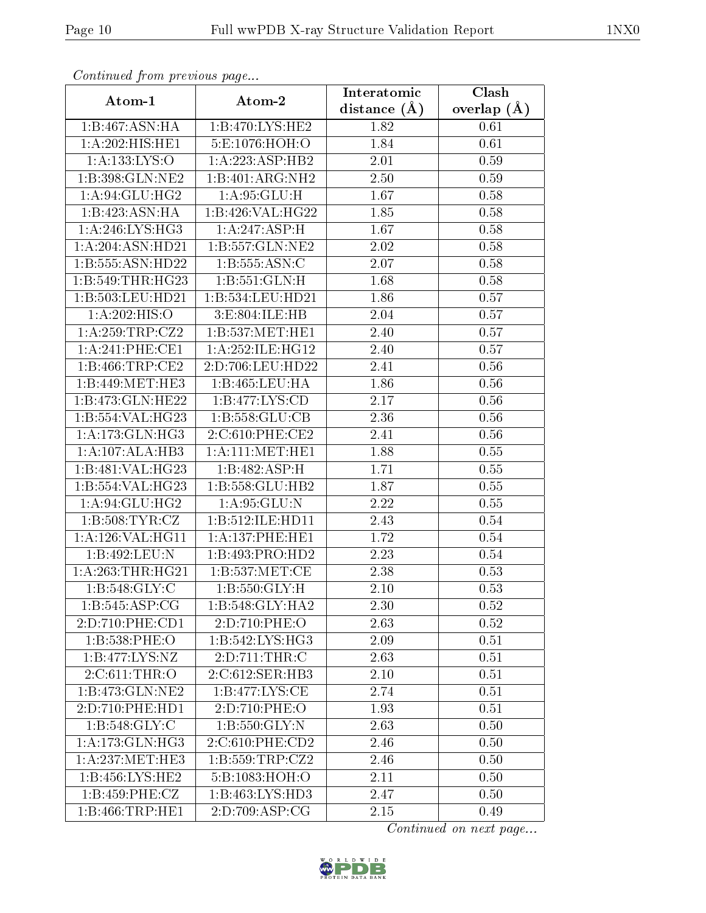| Comunaca jiom previous page  |                              | Interatomic    | Clash         |
|------------------------------|------------------------------|----------------|---------------|
| Atom-1                       | Atom-2                       | distance $(A)$ | overlap $(A)$ |
| 1:B:467:ASN:HA               | 1:B:470:LYS:HE2              | 1.82           | 0.61          |
| $1:A:202:HI\overline{S:HE1}$ | 5:E:1076:HOH:O               | 1.84           | 0.61          |
| 1:A:133:LYS:O                | $1:A:223:ASP:H\overline{B2}$ | 2.01           | 0.59          |
| 1:B:398:GLN:NE2              | 1:B:401:ARG:NH2              | 2.50           | 0.59          |
| 1:A:94:GLU:HG2               | 1:A:95:GLU:H                 | 1.67           | 0.58          |
| 1:B:423:ASN:HA               | 1:B:426:VAL:HG22             | 1.85           | 0.58          |
| 1: A:246: LYS: HG3           | 1:A:247:ASP:H                | 1.67           | 0.58          |
| 1:A:204:ASN:HD21             | 1:B:557:GLN:NE2              | 2.02           | 0.58          |
| 1:B:555:ASN:HD22             | 1:B:555:ASN:C                | 2.07           | 0.58          |
| 1:B:549:THR:HG23             | 1: B: 551: GLN: H            | 1.68           | 0.58          |
| 1:B:503:LEU:HD21             | 1:B:534:LEU:HD21             | 1.86           | 0.57          |
| 1:A:202:HIS:O                | 3:E:804:ILE:HB               | 2.04           | 0.57          |
| 1:A:259:TRP:CZ2              | 1:B:537:MET:HE1              | 2.40           | 0.57          |
| 1: A:241:PHE:CE1             | 1: A:252: ILE: HG12          | 2.40           | 0.57          |
| 1:B:466:TRP:CE2              | 2:D:706:LEU:HD22             | 2.41           | 0.56          |
| 1:B:449:MET:HE3              | 1:B:465:LEU:HA               | 1.86           | 0.56          |
| 1:B:473:GLN:HE22             | 1:B:477:LYS:CD               | 2.17           | 0.56          |
| 1:B:554:VAL:HG23             | 1: B: 558: GLU: CB           | 2.36           | 0.56          |
| 1: A:173: GLN: HG3           | 2:C:610:PHE:CE2              | 2.41           | 0.56          |
| 1:A:107:ALA:HB3              | 1: A:111:MET:HE1             | 1.88           | 0.55          |
| 1:B:481:VAL:HG23             | 1:B:482:ASP:H                | 1.71           | 0.55          |
| 1:B:554:VAL:HG23             | 1:B:558:GLU:HB2              | 1.87           | 0.55          |
| 1: A:94: GLU: HG2            | 1: A:95: GLU:N               | 2.22           | 0.55          |
| 1:B:508:TYR:CZ               | 1:B:512:ILE:HD11             | 2.43           | 0.54          |
| 1:A:126:VAL:HG11             | 1: A:137:PHE:HE1             | 1.72           | 0.54          |
| 1:B:492:LEU:N                | 1:B:493:PRO:HD2              | 2.23           | 0.54          |
| 1: A:263:THR:HG21            | 1: B: 537: MET:CE            | 2.38           | 0.53          |
| 1:B:548:GLY:C                | 1:B:550:GLY:H                | 2.10           | 0.53          |
| 1:B:545:ASP:CG               | 1:B:548:GLY:HA2              | 2.30           | 0.52          |
| 2:D:710:PHE:CD1              | 2:D:710:PHE:O                | 2.63           | 0.52          |
| 1:B:538:PHE:O                | 1: B:542: LYS: HG3           | 2.09           | 0.51          |
| $1:B:477:LYS:\overline{NZ}$  | 2:D:711:THR:C                | 2.63           | 0.51          |
| 2:C:611:THR:O                | 2:C:612:SER:HB3              | 2.10           | 0.51          |
| 1:B:473:GLN:NE2              | 1: B:477: LYS: CE            | 2.74           | 0.51          |
| 2:D:710:PHE:HD1              | 2:D:710:PHE:O                | 1.93           | 0.51          |
| 1: B:548: GLY: C             | 1: B: 550: GLY:N             | 2.63           | 0.50          |
| 1:A:173:GLN:HG3              | 2:C:610:PHE:CD2              | 2.46           | 0.50          |
| 1: A:237: MET:HE3            | 1: B:559:TRP: CZ2            | 2.46           | 0.50          |
| 1: B: 456: LYS: HE2          | 5:B:1083:HOH:O               | 2.11           | 0.50          |
| 1: B: 459: PHE: CZ           | 1: B: 463: LYS: HD3          | 2.47           | 0.50          |
| 1:B:466:TRP:HE1              | 2:D:709:ASP:CG               | $2.15\,$       | 0.49          |

Continued from previous page.

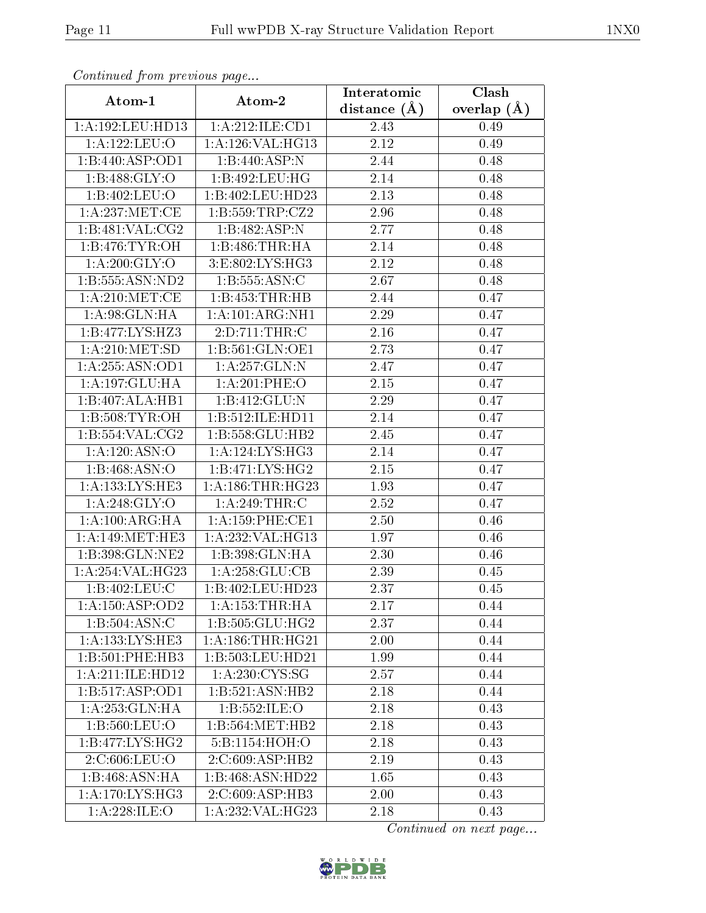| Continuea from previous page |                                           | Interatomic       | Clash         |
|------------------------------|-------------------------------------------|-------------------|---------------|
| Atom-1                       | Atom-2                                    | distance $(A)$    | overlap $(A)$ |
| 1:A:192:LEU:HD13             | 1:A:212:ILE:CD1                           | 2.43              | 0.49          |
| 1:A:122:LEU:O                | 1:A:126:VAL:HG13                          | 2.12              | 0.49          |
| 1:B:440:ASP:OD1              | 1:B:440:ASP:N                             | 2.44              | 0.48          |
| 1:B:488:GLY:O                | 1:B:492:LEU:HG                            | 2.14              | 0.48          |
| 1:B:402:LEU:O                | 1:B:402:LEU:HD23                          | 2.13              | 0.48          |
| 1:A:237:MET:CE               | 1:B:559:TRP:CZ2                           | 2.96              | 0.48          |
| 1:B:481:VAL:CG2              | 1:B:482:ASP:N                             | 2.77              | 0.48          |
| 1:B:476:TYR:OH               | 1:B:486:THR:HA                            | 2.14              | 0.48          |
| 1: A:200: GLY:O              | 3:E:802:LYS:HG3                           | 2.12              | 0.48          |
| 1:B:555:ASN:ND2              | 1: B: 555: ASN: C                         | 2.67              | 0.48          |
| 1: A:210: MET:CE             | 1:B:453:THR:HB                            | 2.44              | 0.47          |
| 1: A:98: GLN: HA             | 1:A:101:ARG:NH1                           | 2.29              | 0.47          |
| 1:B:477:LYS:HZ3              | 2: D: 711: THR: C                         | 2.16              | 0.47          |
| 1: A:210:MET:SD              | 1: B: 561: GLN: OE1                       | 2.73              | 0.47          |
| 1:A:255:ASN:OD1              | 1:A:257:GLN:N                             | 2.47              | 0.47          |
| 1:A:197:GLU:HA               | 1: A:201:PHE:O                            | 2.15              | 0.47          |
| 1:B:407:ALA:HB1              | 1:B:412:GLU:N                             | 2.29              | 0.47          |
| 1: B:508: TYR:OH             | 1:B:512:ILE:HD11                          | 2.14              | 0.47          |
| $1:B:\overline{554:VAL:CG2}$ | 1:B:558:GLU:HB2                           | 2.45              | 0.47          |
| 1:A:120:ASN:O                | 1: A:124:LYS:HG3                          | 2.14              | 0.47          |
| 1: B: 468: ASN:O             | 1: B:471: LYS: HG2                        | 2.15              | 0.47          |
| 1:A:133:LYS:HE3              | 1: A: 186: THR: HG23                      | 1.93              | 0.47          |
| 1:A:248:GLY:O                | 1:A:249:THR:C                             | 2.52              | 0.47          |
| 1: A:100:ARG:HA              | $1: A:159:$ PHE:CE1                       | 2.50              | 0.46          |
| 1: A:149:MET:HE3             | 1:A:232:VAL:HG13                          | 1.97              | 0.46          |
| 1:B:398:GLN:NE2              | $1:B:398:\overline{\text{GLN:H}\text{A}}$ | $\overline{2}.30$ | 0.46          |
| 1:A:254:VAL:HG23             | 1: A:258: GLU:CB                          | 2.39              | 0.45          |
| 1:B:402:LEU:C                | 1:B:402:LEU:HD23                          | 2.37              | 0.45          |
| 1:A:150:ASP:OD2              | 1: A: 153: THR: HA                        | 2.17              | 0.44          |
| 1:B:504:ASN:C                | 1: B: 505: GLU: HG2                       | 2.37              | 0.44          |
| 1: A: 133: LYS: HE3          | 1: A: 186: THR: HG21                      | 2.00              | 0.44          |
| 1:B:501:PHE:HB3              | 1:B:503:LEU:HD21                          | 1.99              | 0.44          |
| 1:A:211:ILE:HD12             | 1: A:230: CYS:SG                          | 2.57              | 0.44          |
| 1:B:517:ASP:OD1              | 1:B:521:ASN:HB2                           | 2.18              | 0.44          |
| 1:A:253:GLN:HA               | 1:B:552:ILE:O                             | 2.18              | 0.43          |
| 1:B:560:LEU:O                | 1:B:564:MET:HB2                           | 2.18              | 0.43          |
| 1: B:477: LYS: HG2           | 5:B:1154:HOH:O                            | 2.18              | 0.43          |
| 2:C:606:LEU:O                | 2:C:609:ASP:HB2                           | 2.19              | 0.43          |
| 1:B:468:ASN:HA               | 1:B:468:ASN:HD22                          | 1.65              | 0.43          |
| 1: A:170: LYS: HG3           | 2:C:609:ASP:HB3                           | 2.00              | 0.43          |
| 1:A:228:ILE:O                | $1:A:232:\overline{VAL:HG23}$             | 2.18              | 0.43          |

Continued from previous page.

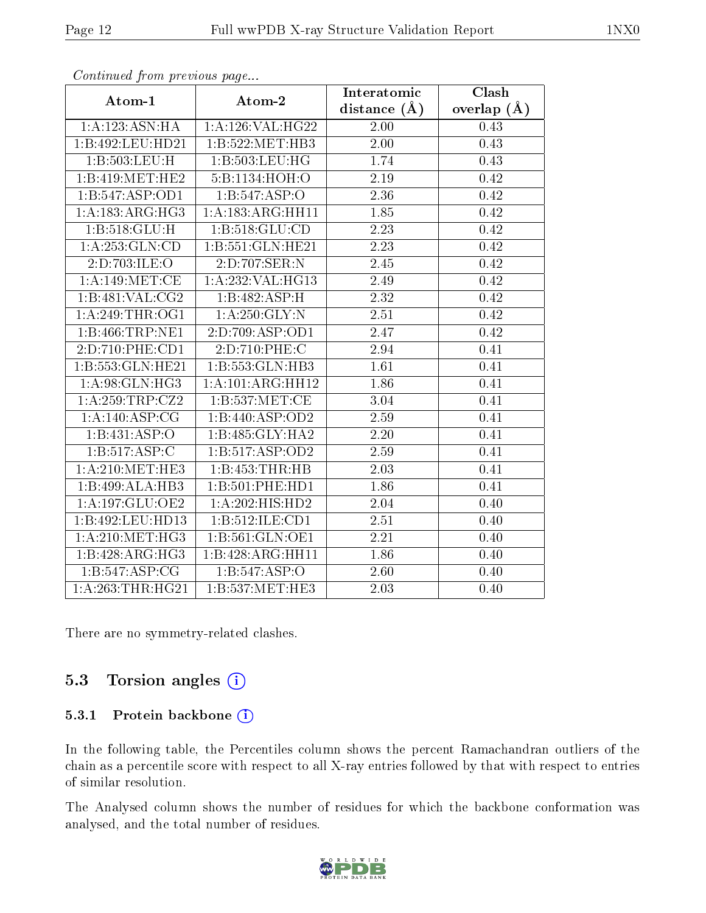| $F^{(1)}(x) = F^{(2)}(x) = F^{(1)}(x) = F^{(2)}(x) = F^{(1)}(x) = F^{(1)}(x) = F^{(1)}(x) = F^{(1)}(x) = F^{(1)}(x) = F^{(1)}(x) = F^{(1)}(x) = F^{(1)}(x) = F^{(1)}(x) = F^{(1)}(x) = F^{(1)}(x) = F^{(1)}(x) = F^{(1)}(x) = F^{(1)}(x) = F^{(1)}(x) = F^{(1)}(x) = F^{(1)}(x) = F^{(1)}(x) = F^{(1)}(x) = F^{(1)}(x) = F^{(1$ |                                   | Interatomic       | Clash         |
|---------------------------------------------------------------------------------------------------------------------------------------------------------------------------------------------------------------------------------------------------------------------------------------------------------------------------------|-----------------------------------|-------------------|---------------|
| Atom-1                                                                                                                                                                                                                                                                                                                          | Atom-2                            | distance $(A)$    | overlap $(A)$ |
| 1: A: 123: ASN: HA                                                                                                                                                                                                                                                                                                              | 1:A:126:VAL:HG22                  | 2.00              | 0.43          |
| 1:B:492:LEU:HD21                                                                                                                                                                                                                                                                                                                | 1:B:522:MET:HB3                   | 2.00              | 0.43          |
| 1:B:503:LEU:H                                                                                                                                                                                                                                                                                                                   | 1:B:503:LEU:HG                    | 1.74              | 0.43          |
| 1:B:419:MET:HE2                                                                                                                                                                                                                                                                                                                 | 5:B:1134:HOH:O                    | 2.19              | 0.42          |
| 1:B:547:ASP:OD1                                                                                                                                                                                                                                                                                                                 | 1:B:547:ASP:O                     | 2.36              | 0.42          |
| 1:A:183:ARG:HG3                                                                                                                                                                                                                                                                                                                 | 1:A:183:ARG:HH11                  | 1.85              | 0.42          |
| 1: B:518: GLU: H                                                                                                                                                                                                                                                                                                                | 1: B: 518: GLU: CD                | 2.23              | 0.42          |
| 1:A:253:GLN:CD                                                                                                                                                                                                                                                                                                                  | 1:B:551:GLN:HE21                  | 2.23              | 0.42          |
| 2:D:703:ILE:O                                                                                                                                                                                                                                                                                                                   | $2:D:707:\overline{\text{SER:}N}$ | 2.45              | 0.42          |
| 1: A:149:MET:CE                                                                                                                                                                                                                                                                                                                 | 1: A:232:VAL:HG13                 | 2.49              | 0.42          |
| 1:B:481:VAL:CG2                                                                                                                                                                                                                                                                                                                 | 1:B:482:ASP:H                     | 2.32              | 0.42          |
| 1: A:249:THR:OG1                                                                                                                                                                                                                                                                                                                | 1: A:250: GLY:N                   | 2.51              | 0.42          |
| 1:B:466:TRP:NE1                                                                                                                                                                                                                                                                                                                 | 2:D:709:ASP:OD1                   | 2.47              | 0.42          |
| 2:D:710:PHE:CD1                                                                                                                                                                                                                                                                                                                 | 2:D:710:PHE:C                     | 2.94              | 0.41          |
| 1:B:553:GLN:HE21                                                                                                                                                                                                                                                                                                                | 1:B:553:GLN:HB3                   | 1.61              | 0.41          |
| 1: A:98: GLN: HG3                                                                                                                                                                                                                                                                                                               | 1:A:101:ARG:HH12                  | 1.86              | 0.41          |
| 1:A:259:TRP:CZ2                                                                                                                                                                                                                                                                                                                 | 1:B:537:MET:CE                    | 3.04              | 0.41          |
| 1:A:140:ASP:CG                                                                                                                                                                                                                                                                                                                  | 1:B:440:ASP:OD2                   | 2.59              | 0.41          |
| 1:B:431:ASP:O                                                                                                                                                                                                                                                                                                                   | 1:B:485:GLY:HA2                   | 2.20              | 0.41          |
| 1: B: 517: ASP: C                                                                                                                                                                                                                                                                                                               | 1:B:517:ASP:OD2                   | 2.59              | 0.41          |
| 1:A:210:MET:HE3                                                                                                                                                                                                                                                                                                                 | 1:B:453:THR:HB                    | $\overline{2.03}$ | 0.41          |
| 1:B:499:ALA:HB3                                                                                                                                                                                                                                                                                                                 | 1:B:501:PHE:HD1                   | 1.86              | 0.41          |
| 1:A:197:GLU:OE2                                                                                                                                                                                                                                                                                                                 | 1:A:202:HIS:HD2                   | 2.04              | 0.40          |
| 1:B:492:LEU:HD13                                                                                                                                                                                                                                                                                                                | 1:B:512:ILE:CD1                   | 2.51              | 0.40          |
| 1: A:210:MET:HG3                                                                                                                                                                                                                                                                                                                | 1:B:561:GLN:OE1                   | 2.21              | 0.40          |
| 1:B:428:ARG:HG3                                                                                                                                                                                                                                                                                                                 | $1:B:428:ARG:\overline{HH11}$     | 1.86              | 0.40          |
| 1: B:547: ASP:CG                                                                                                                                                                                                                                                                                                                | 1:B:547:ASP:O                     | 2.60              | 0.40          |
| 1:A:263:THR:HG21                                                                                                                                                                                                                                                                                                                | 1:B:537:MET:HE3                   | 2.03              | 0.40          |

Continued from previous page...

There are no symmetry-related clashes.

### 5.3 Torsion angles  $(i)$

#### 5.3.1 Protein backbone (i)

In the following table, the Percentiles column shows the percent Ramachandran outliers of the chain as a percentile score with respect to all X-ray entries followed by that with respect to entries of similar resolution.

The Analysed column shows the number of residues for which the backbone conformation was analysed, and the total number of residues.

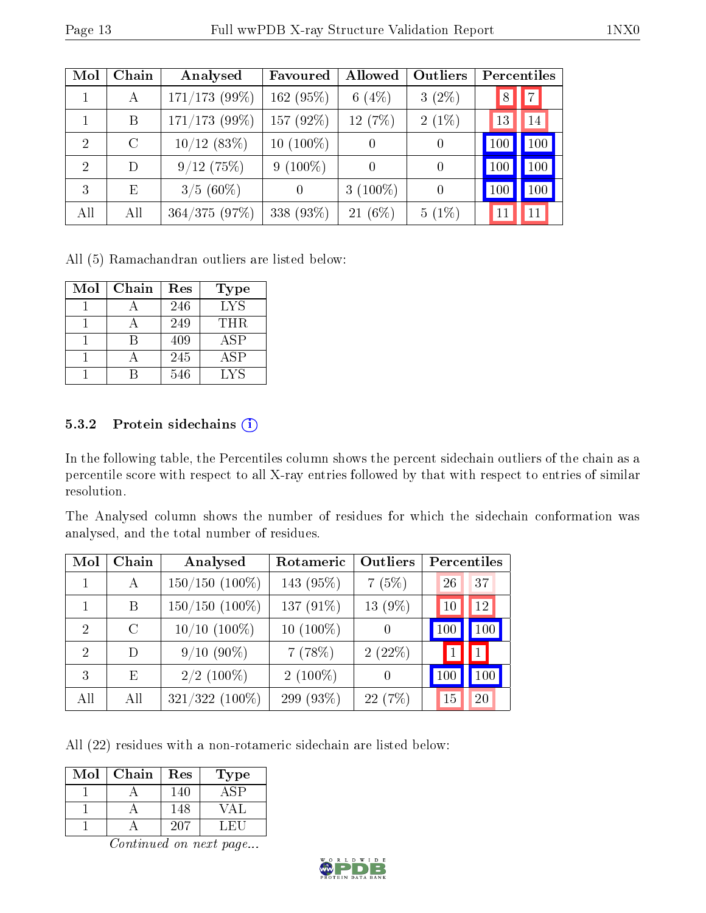| Mol            | Chain   | Analysed        | Favoured    | <b>Allowed</b>   | Outliers         | Percentiles |
|----------------|---------|-----------------|-------------|------------------|------------------|-------------|
| 1              | А       | $171/173$ (99%) | 162 (95%)   | 6 $(4%)$         | $3(2\%)$         | 7 <br>8     |
|                | B       | $171/173$ (99%) | 157 (92%)   | 12 (7%)          | $2(1\%)$         | 14<br>13    |
| $\overline{2}$ | $\rm C$ | $10/12$ (83%)   | $10(100\%)$ | $\theta$         | $\left( \right)$ | 100<br>100  |
| $\overline{2}$ | D       | 9/12(75%)       | $9(100\%)$  | $\left( \right)$ | $\overline{0}$   | 100<br>100  |
| 3              | Ε       | $3/5(60\%)$     | $\Omega$    | 3 $(100\%)$      | $\overline{0}$   | 100<br>100  |
| All            | All     | 364/375(97%)    | 338 (93%)   | $21(6\%)$        | $5(1\%)$         | 11<br>11    |

All (5) Ramachandran outliers are listed below:

| Mol | Chain | Res | Type |
|-----|-------|-----|------|
|     |       | 246 | LYS. |
|     |       | 249 | THR. |
|     |       | 409 | ASP  |
|     |       | 245 | ASP  |
|     |       | 546 | LYS  |

#### 5.3.2 Protein sidechains  $(i)$

In the following table, the Percentiles column shows the percent sidechain outliers of the chain as a percentile score with respect to all X-ray entries followed by that with respect to entries of similar resolution.

The Analysed column shows the number of residues for which the sidechain conformation was analysed, and the total number of residues.

| Mol | Chain        | Analysed            | Rotameric    | Outliers         | Percentiles |     |
|-----|--------------|---------------------|--------------|------------------|-------------|-----|
|     | $\mathbf{A}$ | $150/150$ $(100\%)$ | 143 (95%)    | 7(5%)            | 26          | 37  |
|     | В            | $150/150$ $(100\%)$ | 137 $(91\%)$ | $13(9\%)$        | 10          | 12  |
| 2   | $\Gamma$     | $10/10$ $(100\%)$   | $10(100\%)$  | $\left( \right)$ | 100         | 100 |
| 2   | D            | $9/10(90\%)$        | 7(78%)       | 2(22%)           |             |     |
| 3   | F,           | $2/2$ (100%)        | $2(100\%)$   | $\Omega$         | 100         | 100 |
| All | All          | $321/322$ (100%)    | 299 (93%)    | 22(7%)           | 15          | 20  |

All (22) residues with a non-rotameric sidechain are listed below:

| Mol | Chain | Res | Type       |
|-----|-------|-----|------------|
|     |       | 140 |            |
|     |       | 148 | $\sqrt{A}$ |
|     |       | 207 | ∴H∖L       |

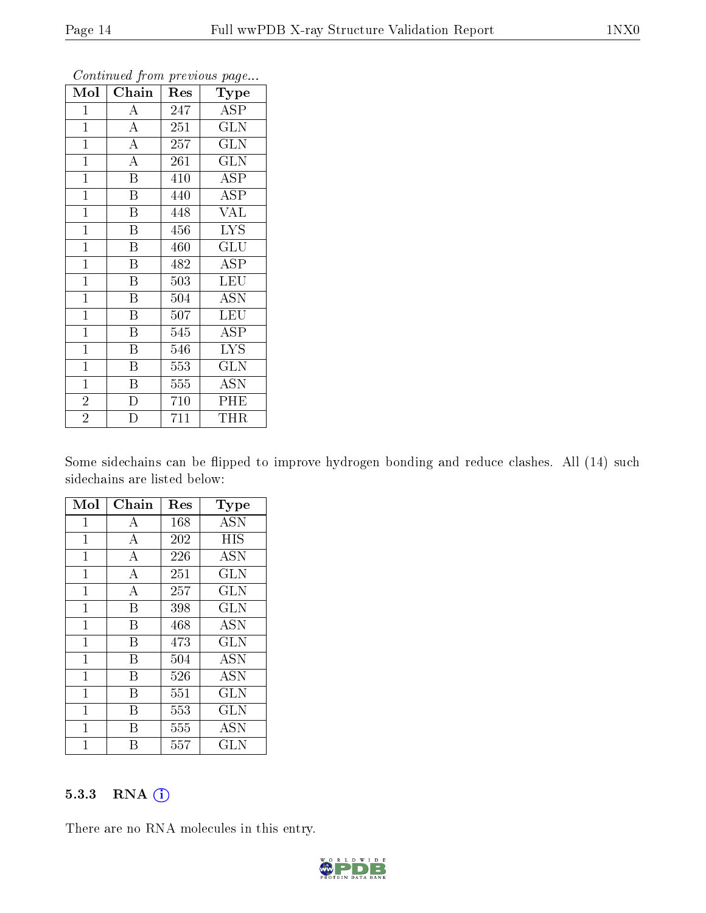| Mol            | Chain                   | Res              | ັ<br>Type               |
|----------------|-------------------------|------------------|-------------------------|
| $\mathbf{1}$   | A                       | 247              | <b>ASP</b>              |
| $\mathbf{1}$   | $\overline{\rm A}$      | 251              | $\overline{\text{GLN}}$ |
| $\mathbf{1}$   | $\overline{A}$          | 257              | <b>GLN</b>              |
| $\mathbf{1}$   | $\overline{A}$          | 261              | <b>GLN</b>              |
| $\mathbf{1}$   | $\overline{\mathrm{B}}$ | 410              | <b>ASP</b>              |
| $\mathbf{1}$   | B                       | 440              | ASP                     |
| $\mathbf{1}$   | Β                       | 448              | <b>VAL</b>              |
| $\mathbf{1}$   | $\overline{\mathrm{B}}$ | 456              | <b>LYS</b>              |
| $\overline{1}$ | $\overline{\mathrm{B}}$ | 460              | $\mathrm{GLU}$          |
| $\mathbf{1}$   | $\overline{\mathrm{B}}$ | 482              | <b>ASP</b>              |
| $\mathbf{1}$   | B                       | 503              | LEU                     |
| $\mathbf{1}$   | $\overline{\mathrm{B}}$ | 504              | <b>ASN</b>              |
| $\mathbf{1}$   | Β                       | 507              | <b>LEU</b>              |
| $\mathbf{1}$   | Β                       | 545              | <b>ASP</b>              |
| $\mathbf{1}$   | $\overline{\mathrm{B}}$ | 546              | <b>LYS</b>              |
| $\mathbf{1}$   | $\overline{\mathrm{B}}$ | 553              | <b>GLN</b>              |
| $\mathbf{1}$   | B                       | $\overline{5}55$ | $\overline{\text{ASN}}$ |
| $\overline{2}$ | D                       | 710              | PHE                     |
| $\overline{2}$ | $\overline{D}$          | 711              | THR                     |

Continued from previous page...

Some sidechains can be flipped to improve hydrogen bonding and reduce clashes. All (14) such sidechains are listed below:

| Mol          | Chain            | Res | $_{\rm Type}$ |
|--------------|------------------|-----|---------------|
| $\mathbf{1}$ | А                | 168 | ASN           |
| $\mathbf 1$  | $\boldsymbol{A}$ | 202 | HIS           |
| $\mathbf 1$  | A                | 226 | ASN           |
| $\mathbf{1}$ | $\overline{A}$   | 251 | GLN           |
| $\mathbf 1$  | A                | 257 | GLN           |
| $\mathbf 1$  | B                | 398 | <b>GLN</b>    |
| $\mathbf{1}$ | В                | 468 | <b>ASN</b>    |
| $\mathbf 1$  | B                | 473 | <b>GLN</b>    |
| $\mathbf 1$  | В                | 504 | ASN           |
| $\mathbf 1$  | B                | 526 | <b>ASN</b>    |
| $\mathbf{1}$ | В                | 551 | GLN           |
| $\mathbf{1}$ | В                | 553 | GLN           |
| 1            | В                | 555 | ASN           |
| 1            | R                | 557 | GLN           |

#### 5.3.3 RNA (i)

There are no RNA molecules in this entry.

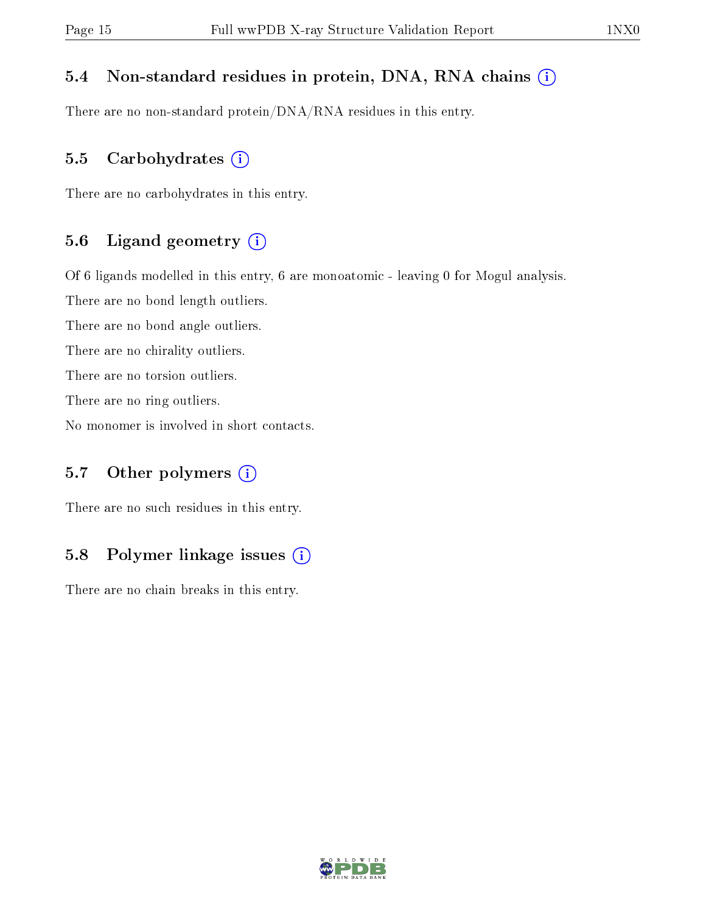#### 5.4 Non-standard residues in protein, DNA, RNA chains (i)

There are no non-standard protein/DNA/RNA residues in this entry.

#### 5.5 Carbohydrates  $(i)$

There are no carbohydrates in this entry.

#### 5.6 Ligand geometry (i)

Of 6 ligands modelled in this entry, 6 are monoatomic - leaving 0 for Mogul analysis.

There are no bond length outliers.

There are no bond angle outliers.

There are no chirality outliers.

There are no torsion outliers.

There are no ring outliers.

No monomer is involved in short contacts.

#### 5.7 [O](https://www.wwpdb.org/validation/2017/XrayValidationReportHelp#nonstandard_residues_and_ligands)ther polymers  $(i)$

There are no such residues in this entry.

#### 5.8 Polymer linkage issues  $(i)$

There are no chain breaks in this entry.